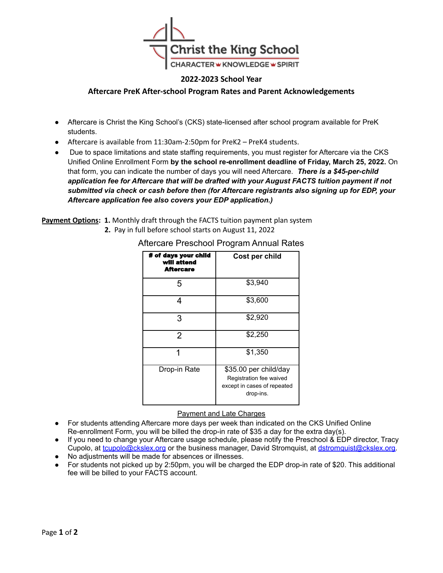

## **2022-2023 School Year**

### **Aftercare PreK After-school Program Rates and Parent Acknowledgements**

- Aftercare is Christ the King School's (CKS) state-licensed after school program available for PreK students.
- Aftercare is available from 11:30am-2:50pm for PreK2 PreK4 students.
- Due to space limitations and state staffing requirements, you must register for Aftercare via the CKS Unified Online Enrollment Form **by the school re-enrollment deadline of Friday, March 25, 2022.** On that form, you can indicate the number of days you will need Aftercare. *There is a \$45-per-child application fee for Aftercare that will be drafted with your August FACTS tuition payment if not submitted via check or cash before then (for Aftercare registrants also signing up for EDP, your Aftercare application fee also covers your EDP application.)*

**Payment Options: 1.** Monthly draft through the FACTS tuition payment plan system

**2.** Pay in full before school starts on August 11, 2022

| # of days your child<br>will attend<br><b>Aftercare</b> | Cost per child                                                                               |
|---------------------------------------------------------|----------------------------------------------------------------------------------------------|
| 5                                                       | \$3,940                                                                                      |
| 4                                                       | \$3,600                                                                                      |
| 3                                                       | \$2,920                                                                                      |
| $\overline{2}$                                          | \$2,250                                                                                      |
|                                                         | \$1,350                                                                                      |
| Drop-in Rate                                            | \$35.00 per child/day<br>Registration fee waived<br>except in cases of repeated<br>drop-ins. |

# Aftercare Preschool Program Annual Rates

### Payment and Late Charges

- For students attending Aftercare more days per week than indicated on the CKS Unified Online Re-enrollment Form, you will be billed the drop-in rate of \$35 a day for the extra day(s).
- If you need to change your Aftercare usage schedule, please notify the Preschool & EDP director, Tracy Cupolo, at [tcupolo@ckslex.org](mailto:tcupolo@ckslex.org) or the business manager, David Stromquist, at [dstromquist@ckslex.org.](mailto:dstromquist@ckslex.org)
- No adjustments will be made for absences or illnesses.
- For students not picked up by 2:50pm, you will be charged the EDP drop-in rate of \$20. This additional fee will be billed to your FACTS account.